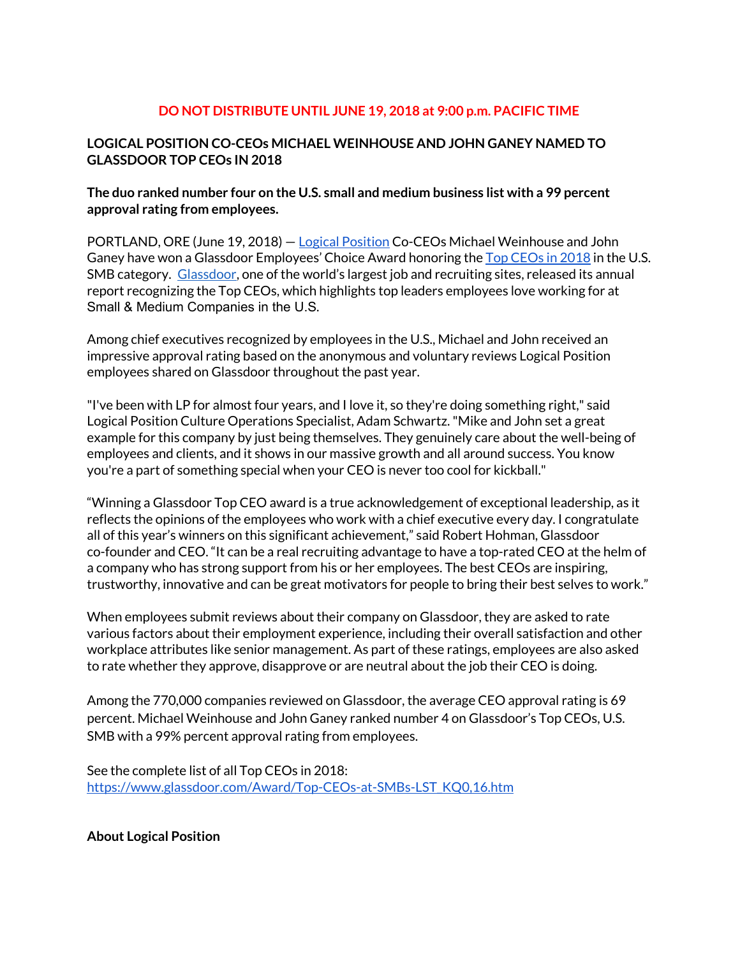# **DO NOT DISTRIBUTE UNTIL JUNE 19, 2018 at 9:00 p.m. PACIFIC TIME**

## **LOGICAL POSITION CO-CEOs MICHAEL WEINHOUSE AND JOHN GANEY NAMED TO GLASSDOOR TOP CEOs IN 2018**

### **The duo ranked number four on the U.S. small and medium business list with a 99 percent approval rating from employees.**

PORTLAND, ORE (June 19, 2018) — Logical [Position](https://www.logicalposition.com/) Co-CEOs Michael Weinhouse and John Ganey have won a Glassdoor Employees' Choice Award honoring the Top [CEOs](https://www.glassdoor.com/Award/Top-CEOs-at-SMBs-LST_KQ0,16.htm) in 2018 in the U.S. SMB category. [Glassdoor,](https://www.glassdoor.com/index.htm) one of the world's largest job and recruiting sites, released its annual report recognizing the Top CEOs, which highlights top leaders employees love working for at Small & Medium Companies in the U.S.

Among chief executives recognized by employees in the U.S., Michael and John received an impressive approval rating based on the anonymous and voluntary reviews Logical Position employees shared on Glassdoor throughout the past year.

"I've been with LP for almost four years, and I love it, so they're doing something right," said Logical Position Culture Operations Specialist, Adam Schwartz."Mike and John set a great example for this company by just being themselves. They genuinely care about the well-being of employees and clients, and it shows in our massive growth and all around success. You know you're a part of something special when your CEO is never too cool for kickball."

"Winning a Glassdoor Top CEO award is a true acknowledgement of exceptional leadership, as it reflects the opinions of the employees who work with a chief executive every day. I congratulate all of this year's winners on this significant achievement," said Robert Hohman, Glassdoor co-founder and CEO. "It can be a real recruiting advantage to have a top-rated CEO at the helm of a company who has strong support from his or her employees. The best CEOs are inspiring, trustworthy, innovative and can be great motivators for people to bring their best selves to work."

When employees submit reviews about their company on Glassdoor, they are asked to rate various factors about their employment experience, including their overall satisfaction and other workplace attributes like senior management. As part of these ratings, employees are also asked to rate whether they approve, disapprove or are neutral about the job their CEO is doing.

Among the 770,000 companies reviewed on Glassdoor, the average CEO approval rating is 69 percent. Michael Weinhouse and John Ganey ranked number 4 on Glassdoor's Top CEOs, U.S. SMB with a 99% percent approval rating from employees.

See the complete list of all Top CEOs in 2018: [https://www.glassdoor.com/Award/Top-CEOs-at-SMBs-LST\\_KQ0,16.htm](https://www.glassdoor.com/Award/Top-CEOs-at-SMBs-LST_KQ0,16.htm)

**About Logical Position**